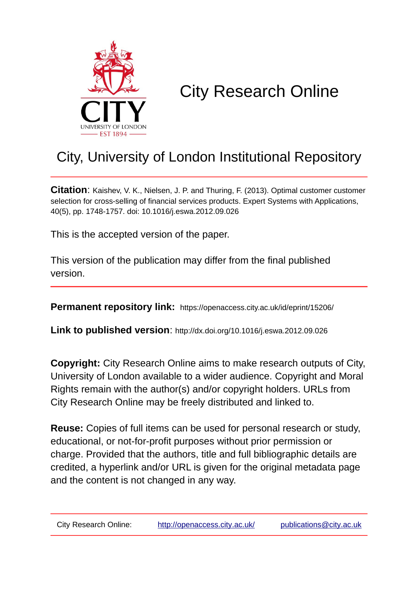

# City Research Online

## City, University of London Institutional Repository

**Citation**: Kaishev, V. K., Nielsen, J. P. and Thuring, F. (2013). Optimal customer customer selection for cross-selling of financial services products. Expert Systems with Applications, 40(5), pp. 1748-1757. doi: 10.1016/j.eswa.2012.09.026

This is the accepted version of the paper.

This version of the publication may differ from the final published version.

**Permanent repository link:** https://openaccess.city.ac.uk/id/eprint/15206/

**Link to published version**: http://dx.doi.org/10.1016/j.eswa.2012.09.026

**Copyright:** City Research Online aims to make research outputs of City, University of London available to a wider audience. Copyright and Moral Rights remain with the author(s) and/or copyright holders. URLs from City Research Online may be freely distributed and linked to.

**Reuse:** Copies of full items can be used for personal research or study, educational, or not-for-profit purposes without prior permission or charge. Provided that the authors, title and full bibliographic details are credited, a hyperlink and/or URL is given for the original metadata page and the content is not changed in any way.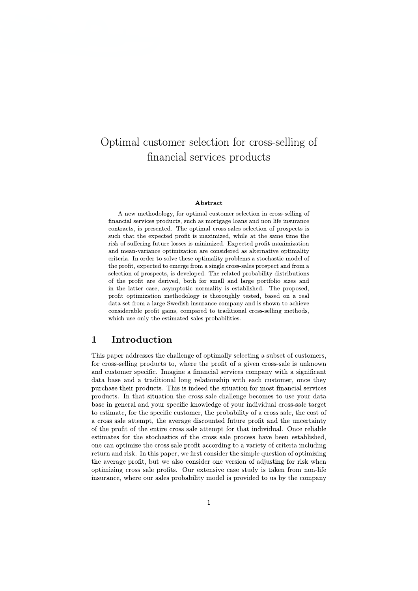## Optimal customer selection for cross-selling of financial services products

#### Abstract

A new methodology, for optimal customer selection in cross-selling of financial services products, such as mortgage loans and non life insurance contracts, is presented. The optimal cross-sales selection of prospects is such that the expected profit is maximized, while at the same time the risk of suffering future losses is minimized. Expected profit maximization and mean-variance optimization are considered as alternative optimality criteria. In order to solve these optimality problems a stochastic model of the profit, expected to emerge from a single cross-sales prospect and from a selection of prospects, is developed. The related probability distributions of the profit are derived, both for small and large portfolio sizes and in the latter case, asymptotic normality is established. The proposed, profit optimization methodology is thoroughly tested, based on a real data set from a large Swedish insurance company and is shown to achieve considerable profit gains, compared to traditional cross-selling methods, which use only the estimated sales probabilities.

#### $\mathbf{1}$ Introduction

This paper addresses the challenge of optimally selecting a subset of customers, for cross-selling products to, where the profit of a given cross-sale is unknown and customer specific. Imagine a financial services company with a significant data base and a traditional long relationship with each customer, once they purchase their products. This is indeed the situation for most financial services products. In that situation the cross sale challenge becomes to use your data base in general and your specific knowledge of your individual cross-sale target to estimate, for the specific customer, the probability of a cross sale, the cost of a cross sale attempt, the average discounted future profit and the uncertainty of the profit of the entire cross sale attempt for that individual. Once reliable estimates for the stochastics of the cross sale process have been established, one can optimize the cross sale profit according to a variety of criteria including return and risk. In this paper, we first consider the simple question of optimizing the average profit, but we also consider one version of adjusting for risk when optimizing cross sale profits. Our extensive case study is taken from non-life insurance, where our sales probability model is provided to us by the company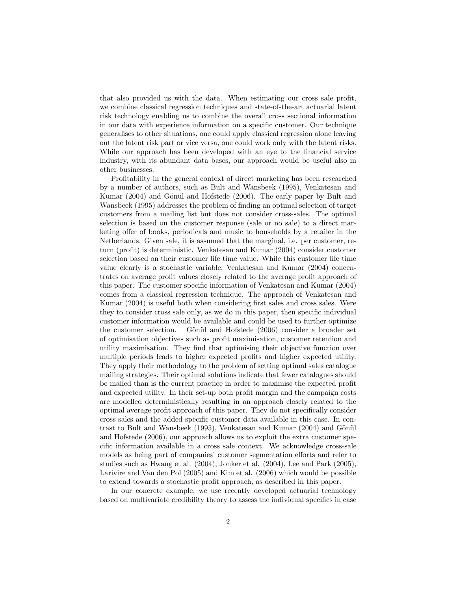that also provided us with the data. When estimating our cross sale profit, we combine classical regression techniques and state-of-the-art actuarial latent risk technology enabling us to combine the overall cross sectional information in our data with experience information on a specific customer. Our technique generalises to other situations, one could apply classical regression alone leaving out the latent risk part or vice versa, one could work only with the latent risks. While our approach has been developed with an eye to the financial service industry, with its abundant data bases, our approach would be useful also in other businesses.

Profitability in the general context of direct marketing has been researched by a number of authors, such as Bult and Wansbeek (1995), Venkatesan and Kumar (2004) and Gönül and Hofstede (2006). The early paper by Bult and Wansbeek (1995) addresses the problem of finding an optimal selection of target customers from a mailing list but does not consider cross-sales. The optimal selection is based on the customer response (sale or no sale) to a direct marketing offer of books, periodicals and music to households by a retailer in the Netherlands. Given sale, it is assumed that the marginal, i.e. per customer, return (profit) is deterministic. Venkatesan and Kumar (2004) consider customer selection based on their customer life time value. While this customer life time value clearly is a stochastic variable, Venkatesan and Kumar (2004) concentrates on average profit values closely related to the average profit approach of this paper. The customer specific information of Venkatesan and Kumar (2004) comes from a classical regression technique. The approach of Venkatesan and Kumar (2004) is useful both when considering first sales and cross sales. Were they to consider cross sale only, as we do in this paper, then specific individual customer information would be available and could be used to further optimize the customer selection. Gönül and Hofstede (2006) consider a broader set of optimisation objectives such as profit maximisation, customer retention and utility maximisation. They find that optimising their objective function over multiple periods leads to higher expected profits and higher expected utility. They apply their methodology to the problem of setting optimal sales catalogue mailing strategies. Their optimal solutions indicate that fewer catalogues should be mailed than is the current practice in order to maximise the expected profit and expected utility. In their set-up both profit margin and the campaign costs are modelled deterministically resulting in an approach closely related to the optimal average profit approach of this paper. They do not specifically consider cross sales and the added specific customer data available in this case. In contrast to Bult and Wansbeek (1995), Venkatesan and Kumar (2004) and Gönül and Hofstede (2006), our approach allows us to exploit the extra customer specific information available in a cross sale context. We acknowledge cross-sale models as being part of companies' customer segmentation efforts and refer to studies such as Hwang et al. (2004), Jonker et al. (2004), Lee and Park (2005), Larivire and Van den Pol (2005) and Kim et al. (2006) which would be possible to extend towards a stochastic profit approach, as described in this paper.

In our concrete example, we use recently developed actuarial technology based on multivariate credibility theory to assess the individual specifics in case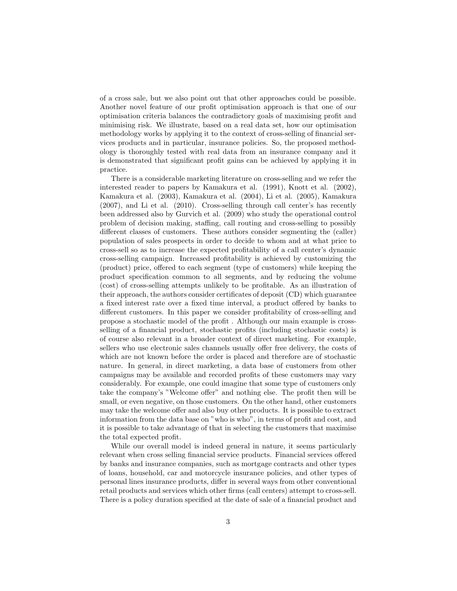of a cross sale, but we also point out that other approaches could be possible. Another novel feature of our profit optimisation approach is that one of our optimisation criteria balances the contradictory goals of maximising profit and minimising risk. We illustrate, based on a real data set, how our optimisation methodology works by applying it to the context of cross-selling of financial services products and in particular, insurance policies. So, the proposed methodology is thoroughly tested with real data from an insurance company and it is demonstrated that significant profit gains can be achieved by applying it in practice.

There is a considerable marketing literature on cross-selling and we refer the interested reader to papers by Kamakura et al. (1991), Knott et al. (2002), Kamakura et al. (2003), Kamakura et al. (2004), Li et al. (2005), Kamakura (2007), and Li et al. (2010). Cross-selling through call center's has recently been addressed also by Gurvich et al. (2009) who study the operational control problem of decision making, staffing, call routing and cross-selling to possibly different classes of customers. These authors consider segmenting the (caller) population of sales prospects in order to decide to whom and at what price to cross-sell so as to increase the expected profitability of a call center's dynamic cross-selling campaign. Increased profitability is achieved by customizing the (product) price, offered to each segment (type of customers) while keeping the product specification common to all segments, and by reducing the volume (cost) of cross-selling attempts unlikely to be profitable. As an illustration of their approach, the authors consider certificates of deposit (CD) which guarantee a fixed interest rate over a fixed time interval, a product offered by banks to different customers. In this paper we consider profitability of cross-selling and propose a stochastic model of the profit . Although our main example is crossselling of a financial product, stochastic profits (including stochastic costs) is of course also relevant in a broader context of direct marketing. For example, sellers who use electronic sales channels usually offer free delivery, the costs of which are not known before the order is placed and therefore are of stochastic nature. In general, in direct marketing, a data base of customers from other campaigns may be available and recorded profits of these customers may vary considerably. For example, one could imagine that some type of customers only take the company's "Welcome offer" and nothing else. The profit then will be small, or even negative, on those customers. On the other hand, other customers may take the welcome offer and also buy other products. It is possible to extract information from the data base on "who is who", in terms of profit and cost, and it is possible to take advantage of that in selecting the customers that maximise the total expected profit.

While our overall model is indeed general in nature, it seems particularly relevant when cross selling financial service products. Financial services offered by banks and insurance companies, such as mortgage contracts and other types of loans, household, car and motorcycle insurance policies, and other types of personal lines insurance products, differ in several ways from other conventional retail products and services which other firms (call centers) attempt to cross-sell. There is a policy duration specified at the date of sale of a financial product and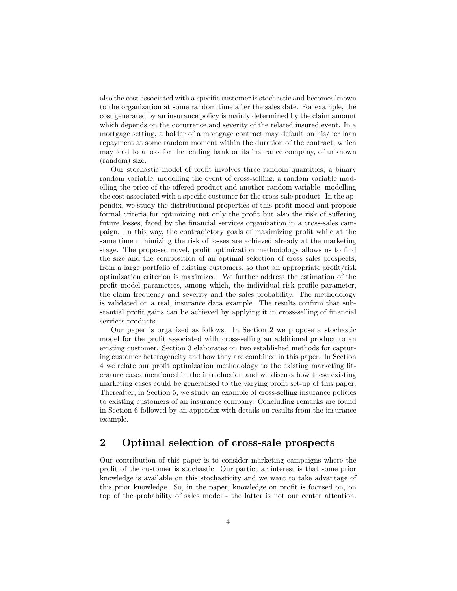also the cost associated with a specific customer is stochastic and becomes known to the organization at some random time after the sales date. For example, the cost generated by an insurance policy is mainly determined by the claim amount which depends on the occurrence and severity of the related insured event. In a mortgage setting, a holder of a mortgage contract may default on his/her loan repayment at some random moment within the duration of the contract, which may lead to a loss for the lending bank or its insurance company, of unknown (random) size.

Our stochastic model of profit involves three random quantities, a binary random variable, modelling the event of cross-selling, a random variable modelling the price of the offered product and another random variable, modelling the cost associated with a specific customer for the cross-sale product. In the appendix, we study the distributional properties of this profit model and propose formal criteria for optimizing not only the profit but also the risk of suffering future losses, faced by the financial services organization in a cross-sales campaign. In this way, the contradictory goals of maximizing profit while at the same time minimizing the risk of losses are achieved already at the marketing stage. The proposed novel, profit optimization methodology allows us to find the size and the composition of an optimal selection of cross sales prospects, from a large portfolio of existing customers, so that an appropriate profit/risk optimization criterion is maximized. We further address the estimation of the profit model parameters, among which, the individual risk profile parameter, the claim frequency and severity and the sales probability. The methodology is validated on a real, insurance data example. The results confirm that substantial profit gains can be achieved by applying it in cross-selling of financial services products.

Our paper is organized as follows. In Section 2 we propose a stochastic model for the profit associated with cross-selling an additional product to an existing customer. Section 3 elaborates on two established methods for capturing customer heterogeneity and how they are combined in this paper. In Section 4 we relate our profit optimization methodology to the existing marketing literature cases mentioned in the introduction and we discuss how these existing marketing cases could be generalised to the varying profit set-up of this paper. Thereafter, in Section 5, we study an example of cross-selling insurance policies to existing customers of an insurance company. Concluding remarks are found in Section 6 followed by an appendix with details on results from the insurance example.

## 2 Optimal selection of cross-sale prospects

Our contribution of this paper is to consider marketing campaigns where the profit of the customer is stochastic. Our particular interest is that some prior knowledge is available on this stochasticity and we want to take advantage of this prior knowledge. So, in the paper, knowledge on profit is focused on, on top of the probability of sales model - the latter is not our center attention.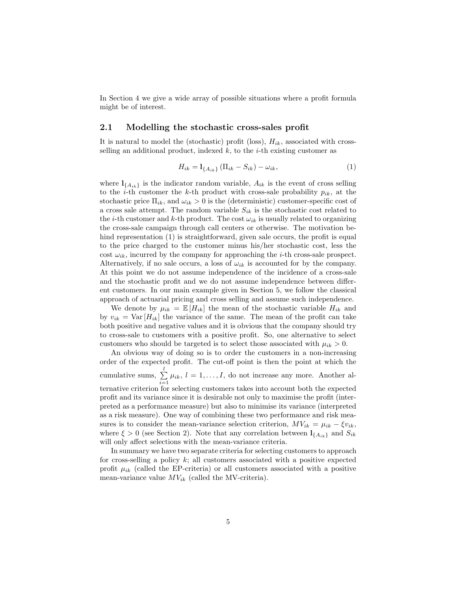In Section 4 we give a wide array of possible situations where a profit formula might be of interest.

#### 2.1 Modelling the stochastic cross-sales profit

It is natural to model the (stochastic) profit (loss),  $H_{ik}$ , associated with crossselling an additional product, indexed  $k$ , to the *i*-th existing customer as

$$
H_{ik} = l_{\{A_{ik}\}} (\Pi_{ik} - S_{ik}) - \omega_{ik}, \tag{1}
$$

where  $\mathbf{l}_{\{A_{ik}\}}$  is the indicator random variable,  $A_{ik}$  is the event of cross selling to the *i*-th customer the *k*-th product with cross-sale probability  $p_{ik}$ , at the stochastic price  $\Pi_{ik}$ , and  $\omega_{ik} > 0$  is the (deterministic) customer-specific cost of a cross sale attempt. The random variable  $S_{ik}$  is the stochastic cost related to the *i*-th customer and k-th product. The cost  $\omega_{ik}$  is usually related to organizing the cross-sale campaign through call centers or otherwise. The motivation behind representation (1) is straightforward, given sale occurs, the profit is equal to the price charged to the customer minus his/her stochastic cost, less the cost  $\omega_{ik}$ , incurred by the company for approaching the *i*-th cross-sale prospect. Alternatively, if no sale occurs, a loss of  $\omega_{ik}$  is accounted for by the company. At this point we do not assume independence of the incidence of a cross-sale and the stochastic profit and we do not assume independence between different customers. In our main example given in Section 5, we follow the classical approach of actuarial pricing and cross selling and assume such independence.

We denote by  $\mu_{ik} = \mathbb{E}[H_{ik}]$  the mean of the stochastic variable  $H_{ik}$  and by  $v_{ik} = \text{Var}[H_{ik}]$  the variance of the same. The mean of the profit can take both positive and negative values and it is obvious that the company should try to cross-sale to customers with a positive profit. So, one alternative to select customers who should be targeted is to select those associated with  $\mu_{ik} > 0$ .

An obvious way of doing so is to order the customers in a non-increasing order of the expected profit. The cut-off point is then the point at which the cumulative sums,  $\sum_{l=1}^{l}$  $\sum_{i=1}^{\infty} \mu_{ik}, l = 1, \ldots, I$ , do not increase any more. Another alternative criterion for selecting customers takes into account both the expected profit and its variance since it is desirable not only to maximise the profit (interpreted as a performance measure) but also to minimise its variance (interpreted as a risk measure). One way of combining these two performance and risk measures is to consider the mean-variance selection criterion,  $MV_{ik} = \mu_{ik} - \xi v_{ik}$ , where  $\xi > 0$  (see Section 2). Note that any correlation between  $I_{\{A_{ik}\}}$  and  $S_{ik}$ will only affect selections with the mean-variance criteria.

In summary we have two separate criteria for selecting customers to approach for cross-selling a policy  $k$ ; all customers associated with a positive expected profit  $\mu_{ik}$  (called the EP-criteria) or all customers associated with a positive mean-variance value  $MV_{ik}$  (called the MV-criteria).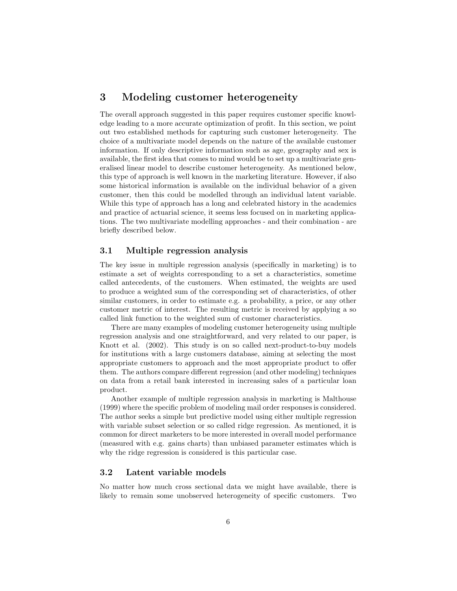## 3 Modeling customer heterogeneity

The overall approach suggested in this paper requires customer specific knowledge leading to a more accurate optimization of profit. In this section, we point out two established methods for capturing such customer heterogeneity. The choice of a multivariate model depends on the nature of the available customer information. If only descriptive information such as age, geography and sex is available, the first idea that comes to mind would be to set up a multivariate generalised linear model to describe customer heterogeneity. As mentioned below, this type of approach is well known in the marketing literature. However, if also some historical information is available on the individual behavior of a given customer, then this could be modelled through an individual latent variable. While this type of approach has a long and celebrated history in the academics and practice of actuarial science, it seems less focused on in marketing applications. The two multivariate modelling approaches - and their combination - are briefly described below.

## 3.1 Multiple regression analysis

The key issue in multiple regression analysis (specifically in marketing) is to estimate a set of weights corresponding to a set a characteristics, sometime called antecedents, of the customers. When estimated, the weights are used to produce a weighted sum of the corresponding set of characteristics, of other similar customers, in order to estimate e.g. a probability, a price, or any other customer metric of interest. The resulting metric is received by applying a so called link function to the weighted sum of customer characteristics.

There are many examples of modeling customer heterogeneity using multiple regression analysis and one straightforward, and very related to our paper, is Knott et al. (2002). This study is on so called next-product-to-buy models for institutions with a large customers database, aiming at selecting the most appropriate customers to approach and the most appropriate product to offer them. The authors compare different regression (and other modeling) techniques on data from a retail bank interested in increasing sales of a particular loan product.

Another example of multiple regression analysis in marketing is Malthouse (1999) where the specific problem of modeling mail order responses is considered. The author seeks a simple but predictive model using either multiple regression with variable subset selection or so called ridge regression. As mentioned, it is common for direct marketers to be more interested in overall model performance (measured with e.g. gains charts) than unbiased parameter estimates which is why the ridge regression is considered is this particular case.

#### 3.2 Latent variable models

No matter how much cross sectional data we might have available, there is likely to remain some unobserved heterogeneity of specific customers. Two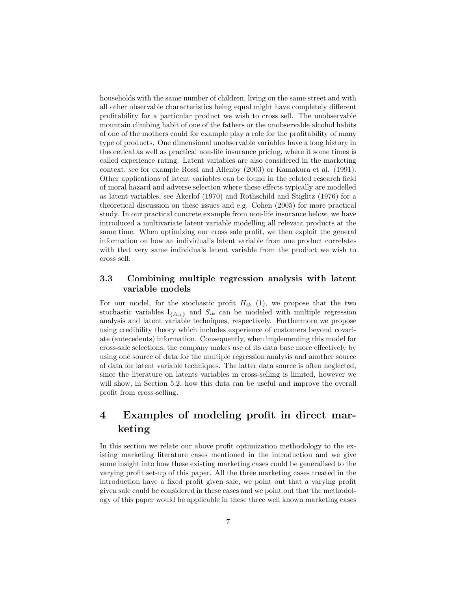households with the same number of children, living on the same street and with all other observable characteristics being equal might have completely different profitability for a particular product we wish to cross sell. The unobservable mountain climbing habit of one of the fathers or the unobservable alcohol habits of one of the mothers could for example play a role for the profitability of many type of products. One dimensional unobservable variables have a long history in theoretical as well as practical non-life insurance pricing, where it some times is called experience rating. Latent variables are also considered in the marketing context, see for example Rossi and Allenby (2003) or Kamakura et al. (1991). Other applications of latent variables can be found in the related research field of moral hazard and adverse selection where these effects typically are modelled as latent variables, see Akerlof (1970) and Rothschild and Stiglitz (1976) for a theoretical discussion on these issues and e.g. Cohen (2005) for more practical study. In our practical concrete example from non-life insurance below, we have introduced a multivariate latent variable modelling all relevant products at the same time. When optimizing our cross sale profit, we then exploit the general information on how an individual's latent variable from one product correlates with that very same individuals latent variable from the product we wish to cross sell.

## 3.3 Combining multiple regression analysis with latent variable models

For our model, for the stochastic profit  $H_{ik}$  (1), we propose that the two stochastic variables  $I_{\{A_{ik}\}}$  and  $S_{ik}$  can be modeled with multiple regression analysis and latent variable techniques, respectively. Furthermore we propose using credibility theory which includes experience of customers beyond covariate (antecedents) information. Consequently, when implementing this model for cross-sale selections, the company makes use of its data base more effectively by using one source of data for the multiple regression analysis and another source of data for latent variable techniques. The latter data source is often neglected, since the literature on latents variables in cross-selling is limited, however we will show, in Section 5.2, how this data can be useful and improve the overall profit from cross-selling.

## 4 Examples of modeling profit in direct marketing

In this section we relate our above profit optimization methodology to the existing marketing literature cases mentioned in the introduction and we give some insight into how these existing marketing cases could be generalised to the varying profit set-up of this paper. All the three marketing cases treated in the introduction have a fixed profit given sale, we point out that a varying profit given sale could be considered in these cases and we point out that the methodology of this paper would be applicable in these three well known marketing cases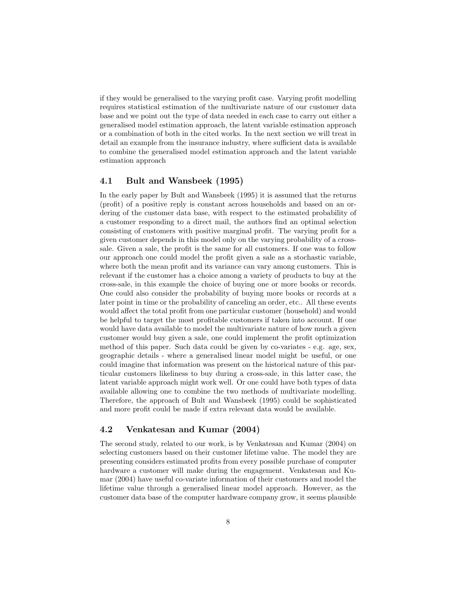if they would be generalised to the varying profit case. Varying profit modelling requires statistical estimation of the multivariate nature of our customer data base and we point out the type of data needed in each case to carry out either a generalised model estimation approach, the latent variable estimation approach or a combination of both in the cited works. In the next section we will treat in detail an example from the insurance industry, where sufficient data is available to combine the generalised model estimation approach and the latent variable estimation approach

#### 4.1 Bult and Wansbeek (1995)

In the early paper by Bult and Wansbeek (1995) it is assumed that the returns (profit) of a positive reply is constant across households and based on an ordering of the customer data base, with respect to the estimated probability of a customer responding to a direct mail, the authors find an optimal selection consisting of customers with positive marginal profit. The varying profit for a given customer depends in this model only on the varying probability of a crosssale. Given a sale, the profit is the same for all customers. If one was to follow our approach one could model the profit given a sale as a stochastic variable, where both the mean profit and its variance can vary among customers. This is relevant if the customer has a choice among a variety of products to buy at the cross-sale, in this example the choice of buying one or more books or records. One could also consider the probability of buying more books or records at a later point in time or the probability of canceling an order, etc.. All these events would affect the total profit from one particular customer (household) and would be helpful to target the most profitable customers if taken into account. If one would have data available to model the multivariate nature of how much a given customer would buy given a sale, one could implement the profit optimization method of this paper. Such data could be given by co-variates - e.g. age, sex, geographic details - where a generalised linear model might be useful, or one could imagine that information was present on the historical nature of this particular customers likeliness to buy during a cross-sale, in this latter case, the latent variable approach might work well. Or one could have both types of data available allowing one to combine the two methods of multivariate modelling. Therefore, the approach of Bult and Wansbeek (1995) could be sophisticated and more profit could be made if extra relevant data would be available.

#### 4.2 Venkatesan and Kumar (2004)

The second study, related to our work, is by Venkatesan and Kumar (2004) on selecting customers based on their customer lifetime value. The model they are presenting considers estimated profits from every possible purchase of computer hardware a customer will make during the engagement. Venkatesan and Kumar (2004) have useful co-variate information of their customers and model the lifetime value through a generalised linear model approach. However, as the customer data base of the computer hardware company grow, it seems plausible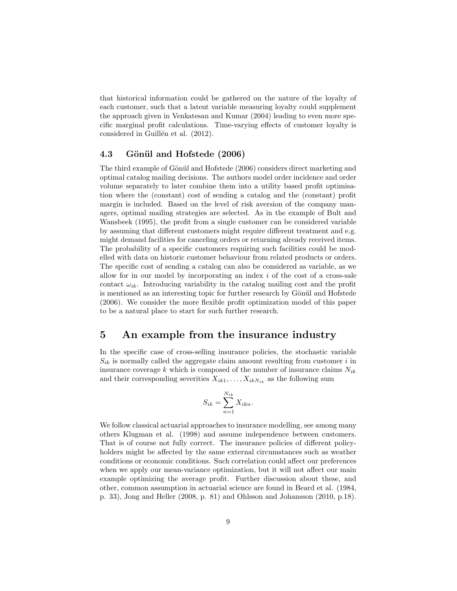that historical information could be gathered on the nature of the loyalty of each customer, such that a latent variable measuring loyalty could supplement the approach given in Venkatesan and Kumar (2004) leading to even more specific marginal profit calculations. Time-varying effects of customer loyalty is considered in Guillén et al. (2012).

#### 4.3 Gönül and Hofstede (2006)

The third example of Gönül and Hofstede (2006) considers direct marketing and optimal catalog mailing decisions. The authors model order incidence and order volume separately to later combine them into a utility based profit optimisation where the (constant) cost of sending a catalog and the (constant) profit margin is included. Based on the level of risk aversion of the company managers, optimal mailing strategies are selected. As in the example of Bult and Wansbeek (1995), the profit from a single customer can be considered variable by assuming that different customers might require different treatment and e.g. might demand facilities for canceling orders or returning already received items. The probability of a specific customers requiring such facilities could be modelled with data on historic customer behaviour from related products or orders. The specific cost of sending a catalog can also be considered as variable, as we allow for in our model by incorporating an index  $i$  of the cost of a cross-sale contact  $\omega_{ik}$ . Introducing variability in the catalog mailing cost and the profit is mentioned as an interesting topic for further research by Gönül and Hofstede (2006). We consider the more flexible profit optimization model of this paper to be a natural place to start for such further research.

## 5 An example from the insurance industry

In the specific case of cross-selling insurance policies, the stochastic variable  $S_{ik}$  is normally called the aggregate claim amount resulting from customer i in insurance coverage k which is composed of the number of insurance claims  $N_{ik}$ and their corresponding severities  $X_{ik1}, \ldots, X_{ikN_{ik}}$  as the following sum

$$
S_{ik} = \sum_{n=1}^{N_{ik}} X_{ikn}.
$$

We follow classical actuarial approaches to insurance modelling, see among many others Klugman et al. (1998) and assume independence between customers. That is of course not fully correct. The insurance policies of different policyholders might be affected by the same external circumstances such as weather conditions or economic conditions. Such correlation could affect our preferences when we apply our mean-variance optimization, but it will not affect our main example optimizing the average profit. Further discussion about these, and other, common assumption in actuarial science are found in Beard et al. (1984, p. 33), Jong and Heller (2008, p. 81) and Ohlsson and Johansson (2010, p.18).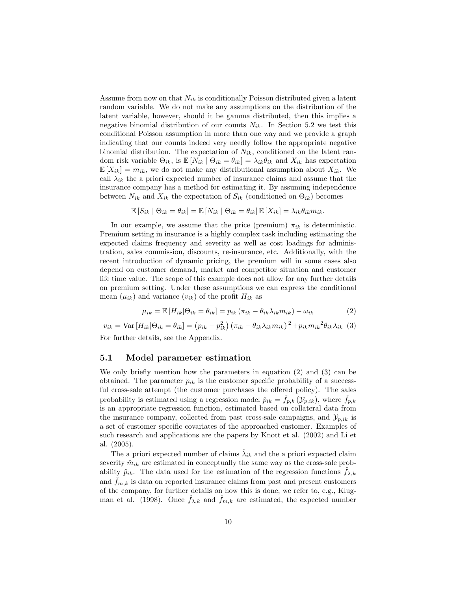Assume from now on that  $N_{ik}$  is conditionally Poisson distributed given a latent random variable. We do not make any assumptions on the distribution of the latent variable, however, should it be gamma distributed, then this implies a negative binomial distribution of our counts  $N_{ik}$ . In Section 5.2 we test this conditional Poisson assumption in more than one way and we provide a graph indicating that our counts indeed very needly follow the appropriate negative binomial distribution. The expectation of  $N_{ik}$ , conditioned on the latent random risk variable  $\Theta_{ik}$ , is  $\mathbb{E}[N_{ik} | \Theta_{ik} = \theta_{ik}] = \lambda_{ik} \theta_{ik}$  and  $X_{ik}$  has expectation  $\mathbb{E}[X_{ik}] = m_{ik}$ , we do not make any distributional assumption about  $X_{ik}$ . We call  $\lambda_{ik}$  the a priori expected number of insurance claims and assume that the insurance company has a method for estimating it. By assuming independence between  $N_{ik}$  and  $X_{ik}$  the expectation of  $S_{ik}$  (conditioned on  $\Theta_{ik}$ ) becomes

$$
\mathbb{E}\left[S_{ik}\mid\Theta_{ik}=\theta_{ik}\right]=\mathbb{E}\left[N_{ik}\mid\Theta_{ik}=\theta_{ik}\right]\mathbb{E}\left[X_{ik}\right]=\lambda_{ik}\theta_{ik}m_{ik}.
$$

In our example, we assume that the price (premium)  $\pi_{ik}$  is deterministic. Premium setting in insurance is a highly complex task including estimating the expected claims frequency and severity as well as cost loadings for administration, sales commission, discounts, re-insurance, etc. Additionally, with the recent introduction of dynamic pricing, the premium will in some cases also depend on customer demand, market and competitor situation and customer life time value. The scope of this example does not allow for any further details on premium setting. Under these assumptions we can express the conditional mean  $(\mu_{ik})$  and variance  $(v_{ik})$  of the profit  $H_{ik}$  as

$$
\mu_{ik} = \mathbb{E}\left[H_{ik}|\Theta_{ik} = \theta_{ik}\right] = p_{ik}\left(\pi_{ik} - \theta_{ik}\lambda_{ik}m_{ik}\right) - \omega_{ik} \tag{2}
$$

 $v_{ik} = \text{Var}[H_{ik}|\Theta_{ik} = \theta_{ik}] = (p_{ik} - p_{ik}^2) (\pi_{ik} - \theta_{ik}\lambda_{ik}m_{ik})^2 + p_{ik}m_{ik}^2 \theta_{ik}\lambda_{ik}$  (3) For further details, see the Appendix.

#### 5.1 Model parameter estimation

We only briefly mention how the parameters in equation (2) and (3) can be obtained. The parameter  $p_{ik}$  is the customer specific probability of a successful cross-sale attempt (the customer purchases the offered policy). The sales probability is estimated using a regression model  $\hat{p}_{ik} = \hat{f}_{p,k}(\mathcal{Y}_{p,ik})$ , where  $\hat{f}_{p,k}$ is an appropriate regression function, estimated based on collateral data from the insurance company, collected from past cross-sale campaigns, and  $\mathcal{Y}_{p,ik}$  is a set of customer specific covariates of the approached customer. Examples of such research and applications are the papers by Knott et al. (2002) and Li et al. (2005).

The a priori expected number of claims  $\hat{\lambda}_{ik}$  and the a priori expected claim severity  $\hat{m}_{ik}$  are estimated in conceptually the same way as the cross-sale probability  $\hat{p}_{ik}$ . The data used for the estimation of the regression functions  $f_{\lambda,k}$ and  $f_{m,k}$  is data on reported insurance claims from past and present customers of the company, for further details on how this is done, we refer to, e.g., Klugman et al. (1998). Once  $f_{\lambda,k}$  and  $f_{m,k}$  are estimated, the expected number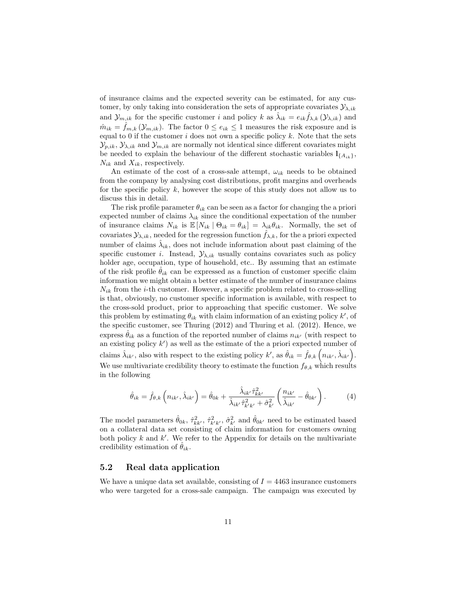of insurance claims and the expected severity can be estimated, for any customer, by only taking into consideration the sets of appropriate covariates  $\mathcal{Y}_{\lambda,ik}$ and  $\mathcal{Y}_{m,ik}$  for the specific customer i and policy k as  $\hat{\lambda}_{ik} = e_{ik} \hat{f}_{\lambda,k} (\mathcal{Y}_{\lambda,ik})$  and  $\hat{m}_{ik} = \hat{f}_{m,k}(\mathcal{Y}_{m,ik})$ . The factor  $0 \leq e_{ik} \leq 1$  measures the risk exposure and is equal to 0 if the customer i does not own a specific policy  $k$ . Note that the sets  $\mathcal{Y}_{p,ik}, \mathcal{Y}_{\lambda,ik}$  and  $\mathcal{Y}_{m,ik}$  are normally not identical since different covariates might be needed to explain the behaviour of the different stochastic variables  $\mathbf{l}_{\{A_{ik}\}}$ ,  $N_{ik}$  and  $X_{ik}$ , respectively.

An estimate of the cost of a cross-sale attempt,  $\omega_{ik}$  needs to be obtained from the company by analysing cost distributions, profit margins and overheads for the specific policy  $k$ , however the scope of this study does not allow us to discuss this in detail.

The risk profile parameter  $\theta_{ik}$  can be seen as a factor for changing the a priori expected number of claims  $\lambda_{ik}$  since the conditional expectation of the number of insurance claims  $N_{ik}$  is  $\mathbb{E}[N_{ik} | \Theta_{ik} = \theta_{ik}] = \lambda_{ik} \theta_{ik}$ . Normally, the set of covariates  $\mathcal{Y}_{\lambda,ik}$ , needed for the regression function  $f_{\lambda,k}$ , for the a priori expected number of claims  $\hat{\lambda}_{ik}$ , does not include information about past claiming of the specific customer *i*. Instead,  $\mathcal{Y}_{\lambda,ik}$  usually contains covariates such as policy holder age, occupation, type of household, etc.. By assuming that an estimate of the risk profile  $\theta_{ik}$  can be expressed as a function of customer specific claim information we might obtain a better estimate of the number of insurance claims  $N_{ik}$  from the *i*-th customer. However, a specific problem related to cross-selling is that, obviously, no customer specific information is available, with respect to the cross-sold product, prior to approaching that specific customer. We solve this problem by estimating  $\theta_{ik}$  with claim information of an existing policy k', of the specific customer, see Thuring (2012) and Thuring et al. (2012). Hence, we express  $\theta_{ik}$  as a function of the reported number of claims  $n_{ik'}$  (with respect to an existing policy  $k'$  as well as the estimate of the a priori expected number of claims  $\hat{\lambda}_{ik'}$ , also with respect to the existing policy  $k'$ , as  $\hat{\theta}_{ik} = \hat{f}_{\theta,k} \left( n_{ik'}, \hat{\lambda}_{ik'} \right)$ . We use multivariate credibility theory to estimate the function  $f_{\theta,k}$  which results in the following

$$
\hat{\theta}_{ik} = \hat{f}_{\theta,k} \left( n_{ik'}, \hat{\lambda}_{ik'} \right) = \hat{\theta}_{0k} + \frac{\hat{\lambda}_{ik'} \hat{\tau}_{kk'}^2}{\hat{\lambda}_{ik'} \hat{\tau}_{k'k'}^2 + \hat{\sigma}_{k'}^2} \left( \frac{n_{ik'}}{\hat{\lambda}_{ik'}} - \hat{\theta}_{0k'} \right). \tag{4}
$$

The model parameters  $\hat{\theta}_{0k}$ ,  $\hat{\tau}_{kk'}^2$ ,  $\hat{\tau}_{k'k'}^2$ ,  $\hat{\sigma}_{k'}^2$  and  $\hat{\theta}_{0k'}$  need to be estimated based on a collateral data set consisting of claim information for customers owning both policy  $k$  and  $k'$ . We refer to the Appendix for details on the multivariate credibility estimation of  $\hat{\theta}_{ik}$ .

#### 5.2 Real data application

We have a unique data set available, consisting of  $I = 4463$  insurance customers who were targeted for a cross-sale campaign. The campaign was executed by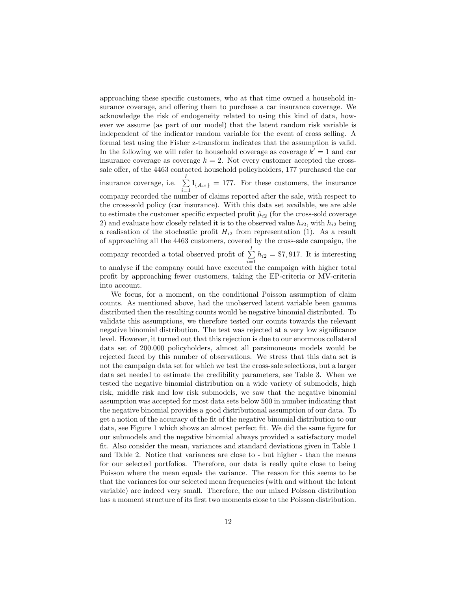approaching these specific customers, who at that time owned a household insurance coverage, and offering them to purchase a car insurance coverage. We acknowledge the risk of endogeneity related to using this kind of data, however we assume (as part of our model) that the latent random risk variable is independent of the indicator random variable for the event of cross selling. A formal test using the Fisher z-transform indicates that the assumption is valid. In the following we will refer to household coverage as coverage  $k' = 1$  and car insurance coverage as coverage  $k = 2$ . Not every customer accepted the crosssale offer, of the 4463 contacted household policyholders, 177 purchased the car insurance coverage, i.e.  $\sum_{ }^{ }$  $\sum_{i=1}^{n} 1_{\{A_{i2}\}} = 177$ . For these customers, the insurance company recorded the number of claims reported after the sale, with respect to the cross-sold policy (car insurance). With this data set available, we are able to estimate the customer specific expected profit  $\hat{\mu}_{i2}$  (for the cross-sold coverage 2) and evaluate how closely related it is to the observed value  $h_{i2}$ , with  $h_{i2}$  being a realisation of the stochastic profit  $H_{i2}$  from representation (1). As a result of approaching all the 4463 customers, covered by the cross-sale campaign, the company recorded a total observed profit of  $\sum_{i=1}^{I}$  $\sum_{i=1} h_{i2} = $7,917$ . It is interesting to analyse if the company could have executed the campaign with higher total profit by approaching fewer customers, taking the EP-criteria or MV-criteria into account.

We focus, for a moment, on the conditional Poisson assumption of claim counts. As mentioned above, had the unobserved latent variable been gamma distributed then the resulting counts would be negative binomial distributed. To validate this assumptions, we therefore tested our counts towards the relevant negative binomial distribution. The test was rejected at a very low significance level. However, it turned out that this rejection is due to our enormous collateral data set of 200.000 policyholders, almost all parsimoneous models would be rejected faced by this number of observations. We stress that this data set is not the campaign data set for which we test the cross-sale selections, but a larger data set needed to estimate the credibility parameters, see Table 3. When we tested the negative binomial distribution on a wide variety of submodels, high risk, middle risk and low risk submodels, we saw that the negative binomial assumption was accepted for most data sets below 500 in number indicating that the negative binomial provides a good distributional assumption of our data. To get a notion of the accuracy of the fit of the negative binomial distribution to our data, see Figure 1 which shows an almost perfect fit. We did the same figure for our submodels and the negative binomial always provided a satisfactory model fit. Also consider the mean, variances and standard deviations given in Table 1 and Table 2. Notice that variances are close to - but higher - than the means for our selected portfolios. Therefore, our data is really quite close to being Poisson where the mean equals the variance. The reason for this seems to be that the variances for our selected mean frequencies (with and without the latent variable) are indeed very small. Therefore, the our mixed Poisson distribution has a moment structure of its first two moments close to the Poisson distribution.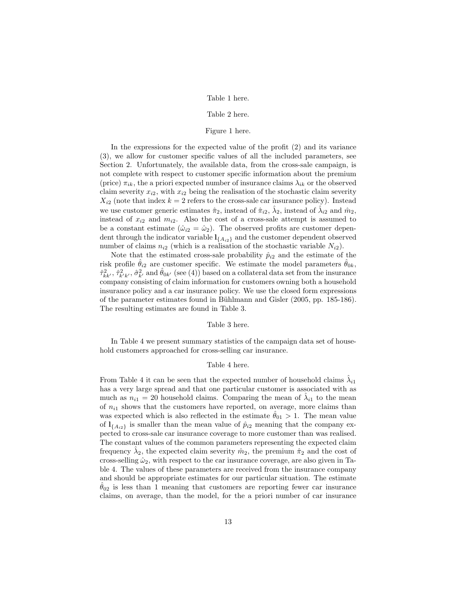#### Table 1 here.

#### Table 2 here.

#### Figure 1 here.

In the expressions for the expected value of the profit (2) and its variance (3), we allow for customer specific values of all the included parameters, see Section 2. Unfortunately, the available data, from the cross-sale campaign, is not complete with respect to customer specific information about the premium (price)  $\pi_{ik}$ , the a priori expected number of insurance claims  $\lambda_{ik}$  or the observed claim severity  $x_{i2}$ , with  $x_{i2}$  being the realisation of the stochastic claim severity  $X_{i2}$  (note that index  $k = 2$  refers to the cross-sale car insurance policy). Instead we use customer generic estimates  $\hat{\pi}_2$ , instead of  $\hat{\pi}_{i2}$ ,  $\hat{\lambda}_2$ , instead of  $\hat{\lambda}_{i2}$  and  $\hat{m}_2$ , instead of  $x_{i2}$  and  $m_{i2}$ . Also the cost of a cross-sale attempt is assumed to be a constant estimate  $(\hat{\omega}_{i2} = \hat{\omega}_2)$ . The observed profits are customer dependent through the indicator variable  $l_{\{A_{i2}\}}$  and the customer dependent observed number of claims  $n_{i2}$  (which is a realisation of the stochastic variable  $N_{i2}$ ).

Note that the estimated cross-sale probability  $\hat{p}_{i2}$  and the estimate of the risk profile  $\hat{\theta}_{i2}$  are customer specific. We estimate the model parameters  $\hat{\theta}_{0k}$ ,  $\hat{\tau}_{kk'}^2, \hat{\tau}_{k'k'}^2, \hat{\sigma}_{k'}^2$  and  $\hat{\theta}_{0k'}$  (see (4)) based on a collateral data set from the insurance company consisting of claim information for customers owning both a household insurance policy and a car insurance policy. We use the closed form expressions of the parameter estimates found in Bühlmann and Gisler (2005, pp. 185-186). The resulting estimates are found in Table 3.

#### Table 3 here.

In Table 4 we present summary statistics of the campaign data set of household customers approached for cross-selling car insurance.

#### Table 4 here.

From Table 4 it can be seen that the expected number of household claims  $\hat{\lambda}_{i1}$ has a very large spread and that one particular customer is associated with as much as  $n_{i1} = 20$  household claims. Comparing the mean of  $\hat{\lambda}_{i1}$  to the mean of  $n_{i1}$  shows that the customers have reported, on average, more claims than was expected which is also reflected in the estimate  $\hat{\theta}_{01} > 1$ . The mean value of  $I_{\{A_{i2}\}}$  is smaller than the mean value of  $\hat{p}_{i2}$  meaning that the company expected to cross-sale car insurance coverage to more customer than was realised. The constant values of the common parameters representing the expected claim frequency  $\hat{\lambda}_2$ , the expected claim severity  $\hat{m}_2$ , the premium  $\hat{\pi}_2$  and the cost of cross-selling  $\hat{\omega}_2$ , with respect to the car insurance coverage, are also given in Table 4. The values of these parameters are received from the insurance company and should be appropriate estimates for our particular situation. The estimate  $\theta_{02}$  is less than 1 meaning that customers are reporting fewer car insurance claims, on average, than the model, for the a priori number of car insurance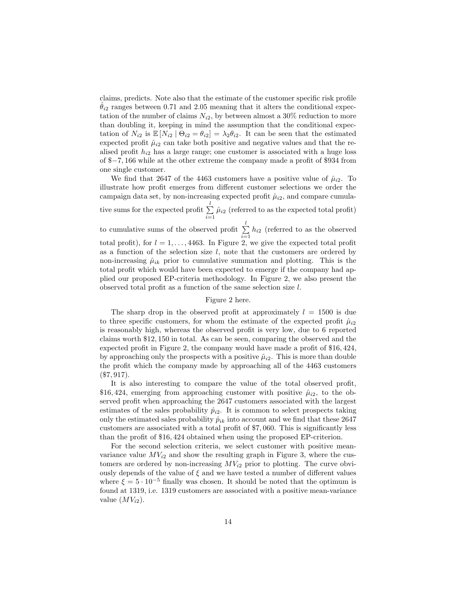claims, predicts. Note also that the estimate of the customer specific risk profile  $\theta_{i2}$  ranges between 0.71 and 2.05 meaning that it alters the conditional expectation of the number of claims  $N_{i2}$ , by between almost a 30% reduction to more than doubling it, keeping in mind the assumption that the conditional expectation of  $N_{i2}$  is  $\mathbb{E}[N_{i2} | \Theta_{i2} = \theta_{i2}] = \lambda_2 \theta_{i2}$ . It can be seen that the estimated expected profit  $\hat{\mu}_{i2}$  can take both positive and negative values and that the realised profit  $h_{i2}$  has a large range; one customer is associated with a huge loss of \$−7, 166 while at the other extreme the company made a profit of \$934 from one single customer.

We find that 2647 of the 4463 customers have a positive value of  $\hat{\mu}_{i2}$ . To illustrate how profit emerges from different customer selections we order the campaign data set, by non-increasing expected profit  $\hat{\mu}_{i2}$ , and compare cumulative sums for the expected profit  $\sum_{i=1}^{l}$  $\sum_{i=1} \hat{\mu}_{i2}$  (referred to as the expected total profit)

to cumulative sums of the observed profit  $\sum_{i=1}^{l}$  $\sum_{i=1} h_{i2}$  (referred to as the observed

total profit), for  $l = 1, \ldots, 4463$ . In Figure 2, we give the expected total profit as a function of the selection size  $l$ , note that the customers are ordered by non-increasing  $\hat{\mu}_{ik}$  prior to cumulative summation and plotting. This is the total profit which would have been expected to emerge if the company had applied our proposed EP-criteria methodology. In Figure 2, we also present the observed total profit as a function of the same selection size l.

#### Figure 2 here.

The sharp drop in the observed profit at approximately  $l = 1500$  is due to three specific customers, for whom the estimate of the expected profit  $\hat{\mu}_{i2}$ is reasonably high, whereas the observed profit is very low, due to 6 reported claims worth \$12, 150 in total. As can be seen, comparing the observed and the expected profit in Figure 2, the company would have made a profit of \$16, 424, by approaching only the prospects with a positive  $\hat{\mu}_{i2}$ . This is more than double the profit which the company made by approaching all of the 4463 customers (\$7, 917).

It is also interesting to compare the value of the total observed profit, \$16,424, emerging from approaching customer with positive  $\hat{\mu}_{i2}$ , to the observed profit when approaching the 2647 customers associated with the largest estimates of the sales probability  $\hat{p}_{i2}$ . It is common to select prospects taking only the estimated sales probability  $\hat{p}_{ik}$  into account and we find that these 2647 customers are associated with a total profit of \$7, 060. This is significantly less than the profit of \$16, 424 obtained when using the proposed EP-criterion.

For the second selection criteria, we select customer with positive meanvariance value  $MV_{i2}$  and show the resulting graph in Figure 3, where the customers are ordered by non-increasing  $MV_{i2}$  prior to plotting. The curve obviously depends of the value of  $\xi$  and we have tested a number of different values where  $\xi = 5 \cdot 10^{-5}$  finally was chosen. It should be noted that the optimum is found at 1319, i.e. 1319 customers are associated with a positive mean-variance value  $(MV_{i2})$ .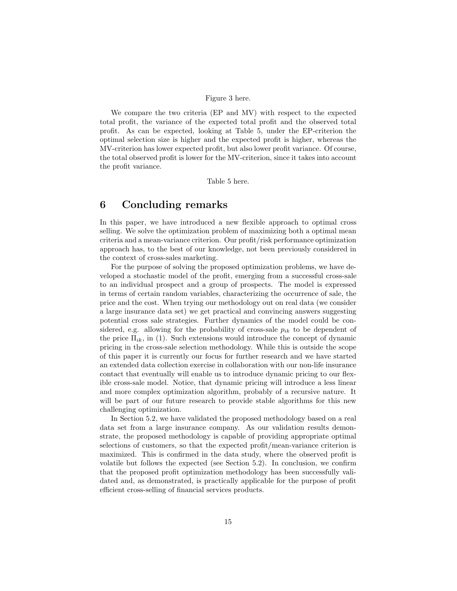#### Figure 3 here.

We compare the two criteria (EP and MV) with respect to the expected total profit, the variance of the expected total profit and the observed total profit. As can be expected, looking at Table 5, under the EP-criterion the optimal selection size is higher and the expected profit is higher, whereas the MV-criterion has lower expected profit, but also lower profit variance. Of course, the total observed profit is lower for the MV-criterion, since it takes into account the profit variance.

Table 5 here.

## 6 Concluding remarks

In this paper, we have introduced a new flexible approach to optimal cross selling. We solve the optimization problem of maximizing both a optimal mean criteria and a mean-variance criterion. Our profit/risk performance optimization approach has, to the best of our knowledge, not been previously considered in the context of cross-sales marketing.

For the purpose of solving the proposed optimization problems, we have developed a stochastic model of the profit, emerging from a successful cross-sale to an individual prospect and a group of prospects. The model is expressed in terms of certain random variables, characterizing the occurrence of sale, the price and the cost. When trying our methodology out on real data (we consider a large insurance data set) we get practical and convincing answers suggesting potential cross sale strategies. Further dynamics of the model could be considered, e.g. allowing for the probability of cross-sale  $p_{ik}$  to be dependent of the price  $\Pi_{ik}$ , in (1). Such extensions would introduce the concept of dynamic pricing in the cross-sale selection methodology. While this is outside the scope of this paper it is currently our focus for further research and we have started an extended data collection exercise in collaboration with our non-life insurance contact that eventually will enable us to introduce dynamic pricing to our flexible cross-sale model. Notice, that dynamic pricing will introduce a less linear and more complex optimization algorithm, probably of a recursive nature. It will be part of our future research to provide stable algorithms for this new challenging optimization.

In Section 5.2, we have validated the proposed methodology based on a real data set from a large insurance company. As our validation results demonstrate, the proposed methodology is capable of providing appropriate optimal selections of customers, so that the expected profit/mean-variance criterion is maximized. This is confirmed in the data study, where the observed profit is volatile but follows the expected (see Section 5.2). In conclusion, we confirm that the proposed profit optimization methodology has been successfully validated and, as demonstrated, is practically applicable for the purpose of profit efficient cross-selling of financial services products.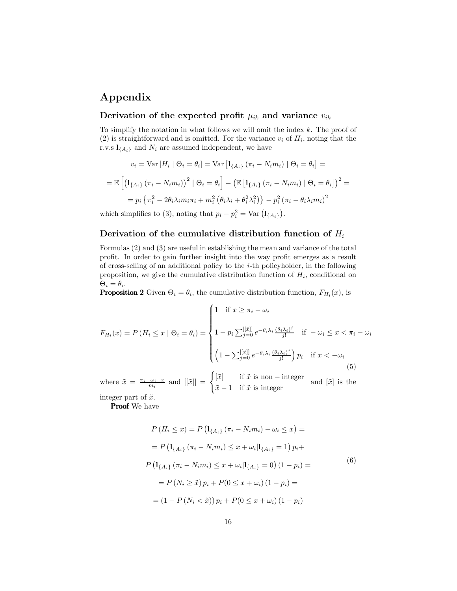## Appendix

## Derivation of the expected profit  $\mu_{ik}$  and variance  $v_{ik}$

To simplify the notation in what follows we will omit the index k. The proof of (2) is straightforward and is omitted. For the variance  $v_i$  of  $H_i$ , noting that the r.v.s  $\mathbf{l}_{\{A_i\}}$  and  $N_i$  are assumed independent, we have

$$
v_i = \text{Var}\left[H_i \mid \Theta_i = \theta_i\right] = \text{Var}\left[\mathbf{1}_{\{A_i\}}\left(\pi_i - N_i m_i\right) \mid \Theta_i = \theta_i\right] =
$$
\n
$$
= \mathbb{E}\left[\left(\mathbf{1}_{\{A_i\}}\left(\pi_i - N_i m_i\right)\right)^2 \mid \Theta_i = \theta_i\right] - \left(\mathbb{E}\left[\mathbf{1}_{\{A_i\}}\left(\pi_i - N_i m_i\right) \mid \Theta_i = \theta_i\right]\right)^2 =
$$
\n
$$
= p_i \left\{\pi_i^2 - 2\theta_i \lambda_i m_i \pi_i + m_i^2 \left(\theta_i \lambda_i + \theta_i^2 \lambda_i^2\right)\right\} - p_i^2 \left(\pi_i - \theta_i \lambda_i m_i\right)^2
$$

which simplifies to (3), noting that  $p_i - p_i^2 = \text{Var}(\mathbf{l}_{\{A_i\}})$ .

## Derivation of the cumulative distribution function of  $H_i$

Formulas (2) and (3) are useful in establishing the mean and variance of the total profit. In order to gain further insight into the way profit emerges as a result of cross-selling of an additional policy to the i-th policyholder, in the following proposition, we give the cumulative distribution function of  $H_i$ , conditional on  $\Theta_i = \theta_i.$ 

**Proposition 2** Given  $\Theta_i = \theta_i$ , the cumulative distribution function,  $F_{H_i}(x)$ , is

$$
F_{H_i}(x) = P\left(H_i \leq x \mid \Theta_i = \theta_i\right) = \begin{cases} 1 & \text{if } x \geq \pi_i - \omega_i \\ 1 - p_i \sum_{j=0}^{[[\tilde{x}]]} e^{-\theta_i \lambda_i} \frac{(\theta_i \lambda_i)^j}{j!} & \text{if } -\omega_i \leq x < \pi_i - \omega_i \\ \left(1 - \sum_{j=0}^{[[\tilde{x}]]} e^{-\theta_i \lambda_i} \frac{(\theta_i \lambda_i)^j}{j!} \right) p_i & \text{if } x < -\omega_i \end{cases} \tag{5}
$$

where  $\tilde{x} = \frac{\pi_i - \omega_i - x}{m_i}$  and  $[[\tilde{x}]] = \begin{cases} [\tilde{x}] & \text{if } \tilde{x} \text{ is non-integer} \\ \tilde{x} - 1 & \text{if } \tilde{x} \text{ is integer} \end{cases}$  $\tilde{x}$  − 1 if  $\tilde{x}$  is integer and  $[\tilde{x}]$  is the integer part of  $\tilde{x}$ .

Proof We have

$$
P(H_i \le x) = P\left(\mathbf{l}_{\{A_i\}}\left(\pi_i - N_i m_i\right) - \omega_i \le x\right) =
$$
\n
$$
= P\left(\mathbf{l}_{\{A_i\}}\left(\pi_i - N_i m_i\right) \le x + \omega_i |\mathbf{l}_{\{A_i\}} = 1\right) p_i +
$$
\n
$$
P\left(\mathbf{l}_{\{A_i\}}\left(\pi_i - N_i m_i\right) \le x + \omega_i |\mathbf{l}_{\{A_i\}} = 0\right) (1 - p_i) =
$$
\n
$$
= P\left(N_i \ge \tilde{x}\right) p_i + P(0 \le x + \omega_i) (1 - p_i) =
$$
\n
$$
= (1 - P\left(N_i < \tilde{x}\right)) p_i + P(0 \le x + \omega_i) (1 - p_i)
$$
\n(6)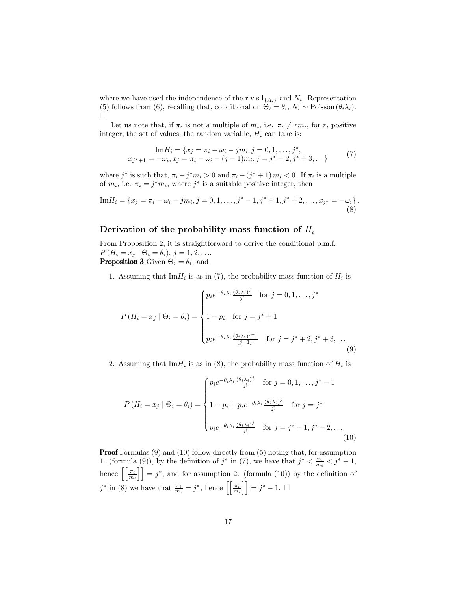where we have used the independence of the r.v.s  $\mathbf{l}_{\{A_i\}}$  and  $N_i$ . Representation (5) follows from (6), recalling that, conditional on  $\Theta_i = \theta_i$ ,  $N_i \sim \text{Poisson}(\theta_i \lambda_i)$ .  $\Box$ 

Let us note that, if  $\pi_i$  is not a multiple of  $m_i$ , i.e.  $\pi_i \neq rm_i$ , for r, positive integer, the set of values, the random variable,  $H_i$  can take is:

$$
\text{Im}H_i = \{x_j = \pi_i - \omega_i - jm_i, j = 0, 1, \dots, j^*,
$$
  

$$
x_{j^*+1} = -\omega_i, x_j = \pi_i - \omega_i - (j-1)m_i, j = j^* + 2, j^* + 3, \dots \}
$$
 (7)

where  $j^*$  is such that,  $\pi_i - j^* m_i > 0$  and  $\pi_i - (j^* + 1) m_i < 0$ . If  $\pi_i$  is a multiple of  $m_i$ , i.e.  $\pi_i = j^* m_i$ , where  $j^*$  is a suitable positive integer, then

Im 
$$
H_i = \{x_j = \pi_i - \omega_i - jm_i, j = 0, 1, ..., j^* - 1, j^* + 1, j^* + 2, ..., x_{j^*} = -\omega_i\}.
$$
 (8)

## Derivation of the probability mass function of  $H_i$

From Proposition 2, it is straightforward to derive the conditional p.m.f.  $P(H_i = x_j | \Theta_i = \theta_i), j = 1, 2, \ldots$ **Proposition 3** Given  $\Theta_i = \theta_i$ , and

1. Assuming that  $\text{Im}H_i$  is as in (7), the probability mass function of  $H_i$  is

$$
P(H_i = x_j | \Theta_i = \theta_i) = \begin{cases} p_i e^{-\theta_i \lambda_i} \frac{(\theta_i \lambda_i)^j}{j!} & \text{for } j = 0, 1, ..., j^* \\ 1 - p_i & \text{for } j = j^* + 1 \\ p_i e^{-\theta_i \lambda_i} \frac{(\theta_i \lambda_i)^{j-1}}{(j-1)!} & \text{for } j = j^* + 2, j^* + 3, ... \end{cases}
$$
(9)

2. Assuming that  $\text{Im}H_i$  is as in (8), the probability mass function of  $H_i$  is

$$
P\left(H_i = x_j \mid \Theta_i = \theta_i\right) = \begin{cases} p_i e^{-\theta_i \lambda_i} \frac{(\theta_i \lambda_i)^j}{j!} & \text{for } j = 0, 1, \dots, j^* - 1 \\ 1 - p_i + p_i e^{-\theta_i \lambda_i} \frac{(\theta_i \lambda_i)^j}{j!} & \text{for } j = j^* \\ p_i e^{-\theta_i \lambda_i} \frac{(\theta_i \lambda_i)^j}{j!} & \text{for } j = j^* + 1, j^* + 2, \dots \end{cases} \tag{10}
$$

**Proof** Formulas (9) and (10) follow directly from (5) noting that, for assumption 1. (formula (9)), by the definition of  $j^*$  in (7), we have that  $j^* < \frac{\pi_i}{m_i} < j^* + 1$ , hence  $\left\lceil \frac{\pi_i}{m_i} \right\rceil = j^*$ , and for assumption 2. (formula (10)) by the definition of  $j^*$  in (8) we have that  $\frac{\pi_i}{m_i} = j^*$ , hence  $\left| \left[ \frac{\pi_i}{m_i} \right] \right| = j^* - 1$ .  $\Box$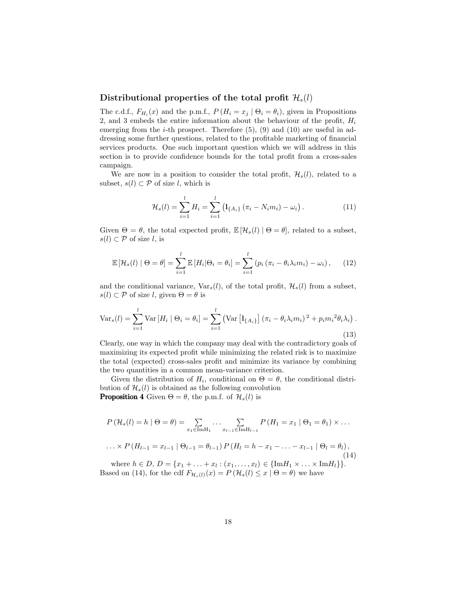## Distributional properties of the total profit  $\mathcal{H}_s(l)$

The c.d.f.,  $F_{H_i}(x)$  and the p.m.f.,  $P(H_i = x_j \mid \Theta_i = \theta_i)$ , given in Propositions 2, and 3 embeds the entire information about the behaviour of the profit,  $H_i$ emerging from the *i*-th prospect. Therefore  $(5)$ ,  $(9)$  and  $(10)$  are useful in addressing some further questions, related to the profitable marketing of financial services products. One such important question which we will address in this section is to provide confidence bounds for the total profit from a cross-sales campaign.

We are now in a position to consider the total profit,  $\mathcal{H}_s(l)$ , related to a subset,  $s(l) \subset \mathcal{P}$  of size l, which is

$$
\mathcal{H}_s(l) = \sum_{i=1}^l H_i = \sum_{i=1}^l \left( \mathbf{1}_{\{A_i\}} \left( \pi_i - N_i m_i \right) - \omega_i \right). \tag{11}
$$

Given  $\Theta = \theta$ , the total expected profit,  $\mathbb{E}[\mathcal{H}_s(l) | \Theta = \theta]$ , related to a subset,  $s(l) \subset \mathcal{P}$  of size l, is

$$
\mathbb{E}\left[\mathcal{H}_s(l)\mid \Theta=\theta\right] = \sum_{i=1}^l \mathbb{E}\left[H_i|\Theta_i=\theta_i\right] = \sum_{i=1}^l \left(p_i\left(\pi_i-\theta_i\lambda_i m_i\right)-\omega_i\right),\tag{12}
$$

and the conditional variance,  $Var_s(l)$ , of the total profit,  $\mathcal{H}_s(l)$  from a subset,  $s(l) \subset \mathcal{P}$  of size l, given  $\Theta = \theta$  is

$$
\text{Var}_s(l) = \sum_{i=1}^l \text{Var}\left[H_i \mid \Theta_i = \theta_i\right] = \sum_{i=1}^l \left(\text{Var}\left[l_{\{A_i\}}\right] \left(\pi_i - \theta_i \lambda_i m_i\right)^2 + p_i m_i^2 \theta_i \lambda_i\right).
$$
\n(13)

Clearly, one way in which the company may deal with the contradictory goals of maximizing its expected profit while minimizing the related risk is to maximize the total (expected) cross-sales profit and minimize its variance by combining the two quantities in a common mean-variance criterion.

Given the distribution of  $H_i$ , conditional on  $\Theta = \theta$ , the conditional distribution of  $\mathcal{H}_s(l)$  is obtained as the following convolution **Proposition 4** Given  $\Theta = \theta$ , the p.m.f. of  $\mathcal{H}_s(l)$  is

$$
P(\mathcal{H}_s(l) = h | \Theta = \theta) = \sum_{x_1 \in \text{Im} H_1} \cdots \sum_{x_{l-1} \in \text{Im} H_{l-1}} P(H_1 = x_1 | \Theta_1 = \theta_1) \times \dots
$$
  

$$
\cdots \times P(H_{l-1} = x_{l-1} | \Theta_{l-1} = \theta_{l-1}) P(H_l = h - x_1 - \dots - x_{l-1} | \Theta_l = \theta_l),
$$
  
(14)  
where  $h \in D, D = \{x_1 + \dots + x_l : (x_1, \dots, x_l) \in \{\text{Im} H_1 \times \dots \times \text{Im} H_l\} \}.$ 

Based on (14), for the cdf  $F_{\mathcal{H}_s(l)}(x) = P(\mathcal{H}_s(l) \leq x \mid \Theta = \theta)$  we have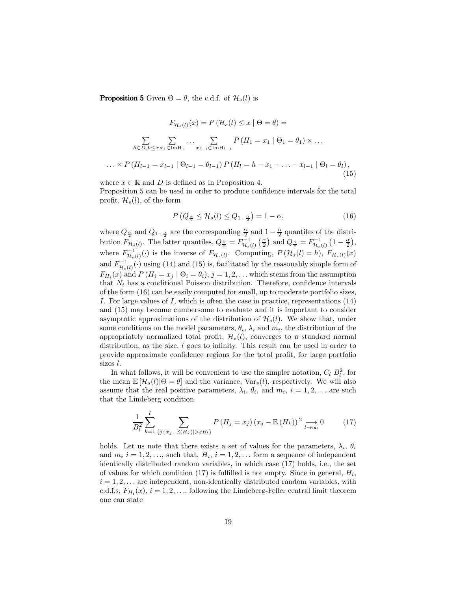**Proposition 5** Given  $\Theta = \theta$ , the c.d.f. of  $\mathcal{H}_s(l)$  is

$$
F_{\mathcal{H}_s(l)}(x) = P(\mathcal{H}_s(l) \le x \mid \Theta = \theta) =
$$
  

$$
\sum_{h \in D, h \le x} \sum_{x_1 \in \text{Im}H_1} \cdots \sum_{x_{l-1} \in \text{Im}H_{l-1}} P(H_1 = x_1 \mid \Theta_1 = \theta_1) \times \dots
$$
  

$$
\cdots \times P(H_{l-1} = x_{l-1} \mid \Theta_{l-1} = \theta_{l-1}) P(H_l = h - x_1 - \dots - x_{l-1} \mid \Theta_l = \theta_l),
$$
\n(15)

where  $x \in \mathbb{R}$  and D is defined as in Proposition 4.

Proposition 5 can be used in order to produce confidence intervals for the total profit,  $\mathcal{H}_s(l)$ , of the form

$$
P\left(Q_{\frac{\alpha}{2}} \leq \mathcal{H}_s(l) \leq Q_{1-\frac{\alpha}{2}}\right) = 1 - \alpha,\tag{16}
$$

where  $Q_{\frac{\alpha}{2}}$  and  $Q_{1-\frac{\alpha}{2}}$  are the corresponding  $\frac{\alpha}{2}$  and  $1-\frac{\alpha}{2}$  quantiles of the distribution  $F_{\mathcal{H}_s(l)}$ . The latter quantiles,  $Q_{\frac{\alpha}{2}} = F_{\mathcal{H}_s(l)}^{-1}(\frac{\alpha}{2})$  and  $Q_{\frac{\alpha}{2}} = F_{\mathcal{H}_s(l)}^{-1}(1 - \frac{\alpha}{2}),$ where  $F_{\mathcal{H}_s(l)}^{-1}(\cdot)$  is the inverse of  $F_{\mathcal{H}_s(l)}$ . Computing,  $P(\mathcal{H}_s(l) = h)$ ,  $F_{\mathcal{H}_s(l)}(x)$ and  $F_{\mathcal{H}_s(l)}^{-1}(\cdot)$  using (14) and (15) is, facilitated by the reasonably simple form of  $F_{H_i}(x)$  and  $P(H_i = x_j | \Theta_i = \theta_i), j = 1, 2, ...$  which stems from the assumption that  $N_i$  has a conditional Poisson distribution. Therefore, confidence intervals of the form (16) can be easily computed for small, up to moderate portfolio sizes, I. For large values of I, which is often the case in practice, representations (14) and (15) may become cumbersome to evaluate and it is important to consider asymptotic approximations of the distribution of  $\mathcal{H}_s(l)$ . We show that, under some conditions on the model parameters,  $\theta_i$ ,  $\lambda_i$  and  $m_i$ , the distribution of the appropriately normalized total profit,  $\mathcal{H}_s(l)$ , converges to a standard normal distribution, as the size,  $l$  goes to infinity. This result can be used in order to provide approximate confidence regions for the total profit, for large portfolio sizes l.

In what follows, it will be convenient to use the simpler notation,  $C_l B_l^2$ , for the mean  $\mathbb{E}[\mathcal{H}_s(l)|\Theta = \theta]$  and the variance,  $\text{Var}_s(l)$ , respectively. We will also assume that the real positive parameters,  $\lambda_i$ ,  $\theta_i$ , and  $m_i$ ,  $i = 1, 2, \dots$  are such that the Lindeberg condition

$$
\frac{1}{B_l^2} \sum_{k=1}^l \sum_{\{j:|x_j - \mathbb{E}(H_k)| > \varepsilon B_l\}} P\left(H_j = x_j\right) (x_j - \mathbb{E}(H_k))^2 \underset{l \to \infty}{\longrightarrow} 0 \tag{17}
$$

holds. Let us note that there exists a set of values for the parameters,  $\lambda_i$ ,  $\theta_i$ and  $m_i$   $i = 1, 2, \ldots$ , such that,  $H_i$ ,  $i = 1, 2, \ldots$  form a sequence of independent identically distributed random variables, in which case (17) holds, i.e., the set of values for which condition  $(17)$  is fulfilled is not empty. Since in general,  $H_i$ ,  $i = 1, 2, \ldots$  are independent, non-identically distributed random variables, with c.d.f.s,  $F_{H_i}(x)$ ,  $i = 1, 2, \ldots$ , following the Lindeberg-Feller central limit theorem one can state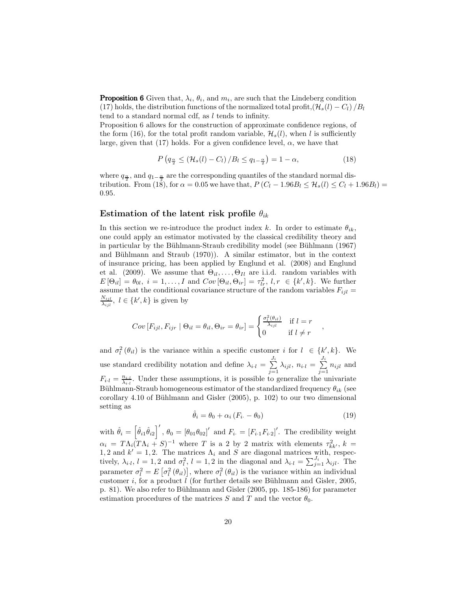**Proposition 6** Given that,  $\lambda_i$ ,  $\theta_i$ , and  $m_i$ , are such that the Lindeberg condition (17) holds, the distribution functions of the normalized total profit, $(\mathcal{H}_s(l) - C_l)/B_l$ tend to a standard normal cdf, as l tends to infinity.

Proposition 6 allows for the construction of approximate confidence regions, of the form (16), for the total profit random variable,  $\mathcal{H}_s(l)$ , when l is sufficiently large, given that (17) holds. For a given confidence level,  $\alpha$ , we have that

$$
P\left(q_{\frac{\alpha}{2}} \leq \left(\mathcal{H}_s(l) - C_l\right) / B_l \leq q_{1-\frac{\alpha}{2}}\right) = 1 - \alpha,\tag{18}
$$

where  $q_{\frac{\alpha}{2}}$ , and  $q_{1-\frac{\alpha}{2}}$  are the corresponding quantiles of the standard normal distribution. From (18), for  $\alpha = 0.05$  we have that,  $P(C_l - 1.96B_l \leq \mathcal{H}_s(l) \leq C_l + 1.96B_l)$ 0.95.

### Estimation of the latent risk profile  $\theta_{ik}$

In this section we re-introduce the product index k. In order to estimate  $\theta_{ik}$ , one could apply an estimator motivated by the classical credibility theory and in particular by the Bühlmann-Straub credibility model (see Bühlmann (1967) and Bühlmann and Straub  $(1970)$ . A similar estimator, but in the context of insurance pricing, has been applied by Englund et al. (2008) and Englund et al. (2009). We assume that  $\Theta_{il}, \ldots, \Theta_{Il}$  are i.i.d. random variables with  $E[\Theta_{il}] = \theta_{0l}, i = 1, \ldots, I$  and  $Cov[\Theta_{il}, \Theta_{ir}] = \tau_{lr}^2, l, r \in \{k', k\}.$  We further assume that the conditional covariance structure of the random variables  $F_{ijl} =$  $N_{ijl}$  $\frac{N_{ijl}}{\lambda_{ijl}}$ ,  $l \in \{k',k\}$  is given by

$$
Cov[F_{ijl}, F_{ijr} | \Theta_{il} = \theta_{il}, \Theta_{ir} = \theta_{ir}] = \begin{cases} \frac{\sigma_l^2(\theta_{il})}{\lambda_{ijl}} & \text{if } l = r\\ 0 & \text{if } l \neq r \end{cases}
$$

and  $\sigma_l^2(\theta_{il})$  is the variance within a specific customer i for  $l \in \{k', k\}$ . We l use standard credibility notation and define  $\lambda_{i \cdot l} = \sum_{i=1}^{J_i}$  $\sum_{j=1}^{J_i} \lambda_{ijl}, n_{i\cdot l} = \sum_{j=1}^{J_i}$  $\sum_{j=1}^{\infty} n_{ijl}$  and  $F_{i\cdot l} = \frac{n_{i\cdot l}}{\lambda_{i\cdot l}}$ . Under these assumptions, it is possible to generalize the univariate Bühlmann-Straub homogeneous estimator of the standardized frequency  $\theta_{ik}$  (see corollary 4.10 of Bühlmann and Gisler  $(2005)$ , p. 102) to our two dimensional setting as

$$
\hat{\theta}_i = \theta_0 + \alpha_i (F_i - \theta_0) \tag{19}
$$

,

with  $\hat{\theta}_i = \left[\hat{\theta}_{i1}\hat{\theta}_{i2}\right]'$ ,  $\theta_0 = \left[\theta_{01}\theta_{02}\right]'$  and  $F_i = \left[F_{i\cdot1}F_{i\cdot2}\right]'$ . The credibility weight  $\alpha_i = T\Lambda_i(T\Lambda_i + S)^{-1}$  where T is a 2 by 2 matrix with elements  $\tau_{kk'}^2$ ,  $k =$ 1, 2 and  $k' = 1, 2$ . The matrices  $\Lambda_i$  and S are diagonal matrices with, respectively,  $\lambda_{i,l}$ ,  $l = 1, 2$  and  $\sigma_l^2$ ,  $l = 1, 2$  in the diagonal and  $\lambda_{i\cdot l} = \sum_{j=1}^{J_i} \lambda_{ijl}$ . The parameter  $\sigma_l^2 = E\left[\sigma_l^2(\theta_{il})\right]$ , where  $\sigma_l^2(\theta_{il})$  is the variance within an individual customer i, for a product  $l$  (for further details see Bühlmann and Gisler, 2005, p. 81). We also refer to Bühlmann and Gisler (2005, pp. 185-186) for parameter estimation procedures of the matrices S and T and the vector  $\theta_0$ .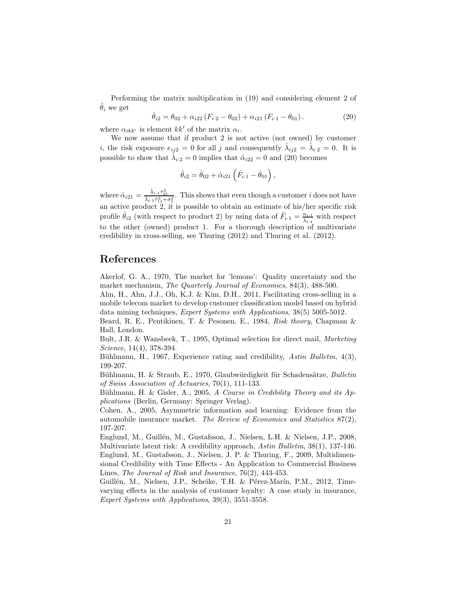Performing the matrix multiplication in (19) and considering element 2 of  $\ddot{\theta}_i$  we get

$$
\hat{\theta}_{i2} = \theta_{02} + \alpha_{i22} (F_{i\cdot 2} - \theta_{02}) + \alpha_{i21} (F_{i\cdot 1} - \theta_{01}). \qquad (20)
$$

where  $\alpha_{ikk'}$  is element  $kk'$  of the matrix  $\alpha_i$ .

We now assume that if product 2 is not active (not owned) by customer *i*, the risk exposure  $e_{ij2} = 0$  for all *j* and consequently  $\hat{\lambda}_{ij2} = \hat{\lambda}_{i \cdot 2} = 0$ . It is possible to show that  $\hat{\lambda}_{i\cdot 2} = 0$  implies that  $\hat{\alpha}_{i22} = 0$  and (20) becomes

$$
\hat{\theta}_{i2} = \hat{\theta}_{02} + \hat{\alpha}_{i21} (\hat{F}_{i\cdot 1} - \hat{\theta}_{01}),
$$

where  $\hat{\alpha}_{i21} = \frac{\hat{\lambda}_{i\cdot 1}\hat{\tau}_{i1}^2}{\hat{\lambda}_{i\cdot 1}\hat{\tau}_{i1}^2 + \hat{\sigma}_1^2}$ . This shows that even though a customer *i* does not have an active product 2, it is possible to obtain an estimate of his/her specific risk profile  $\hat{\theta}_{i2}$  (with respect to product 2) by using data of  $\hat{F}_{i\cdot 1} = \frac{n_{i\cdot 1}}{\hat{\lambda}_{i\cdot 1}}$  with respect to the other (owned) product 1. For a thorough description of multivariate credibility in cross-selling, see Thuring (2012) and Thuring et al. (2012).

## References

Akerlof, G. A., 1970, The market for 'lemons': Quality uncertainty and the market mechanism, The Quarterly Journal of Economics, 84(3), 488-500.

Ahn, H., Ahn, J.J., Oh, K.J. & Kim, D.H., 2011, Facilitating cross-selling in a mobile telecom market to develop customer classification model based on hybrid data mining techniques, Expert Systems with Applications, 38(5) 5005-5012.

Beard, R. E., Pentikinen, T. & Pesonen, E., 1984, Risk theory, Chapman & Hall, London.

Bult, J.R. & Wansbeek, T., 1995, Optimal selection for direct mail, Marketing Science, 14(4), 378-394.

Bühlmann, H., 1967, Experience rating and credibility, Astin Bulletin, 4(3), 199-207.

Bühlmann, H. & Straub, E., 1970, Glaubwürdigkeit für Schadensätze, Bulletin of Swiss Association of Actuaries, 70(1), 111-133.

Bühlmann, H. & Gisler, A., 2005, A Course in Credibility Theory and its Applications (Berlin, Germany: Springer Verlag).

Cohen, A., 2005, Asymmetric information and learning: Evidence from the automobile insurance market. The Review of Economics and Statistics  $87(2)$ , 197-207.

Englund, M., Guillén, M., Gustafsson, J., Nielsen, L.H. & Nielsen, J.P., 2008, Multivariate latent risk: A credibility approach, Astin Bulletin, 38(1), 137-146. Englund, M., Gustafsson, J., Nielsen, J. P. & Thuring, F., 2009, Multidimensional Credibility with Time Effects - An Application to Commercial Business Lines, The Journal of Risk and Insurance, 76(2), 443-453.

Guillén, M., Nielsen, J.P., Scheike, T.H. & Pérez-Marín, P.M., 2012, Timevarying effects in the analysis of customer loyalty: A case study in insurance, Expert Systems with Applications, 39(3), 3551-3558.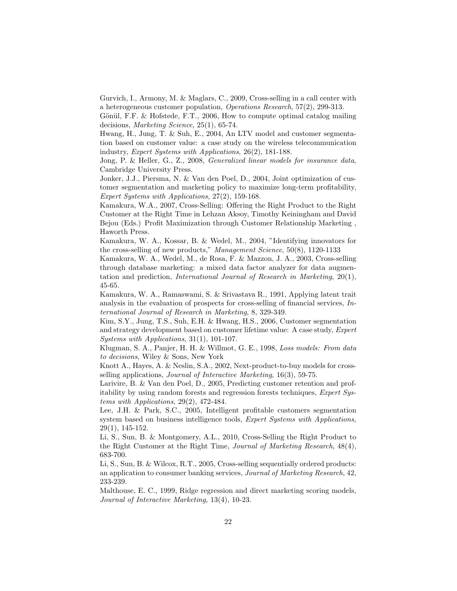Gurvich, I., Armony, M. & Maglars, C., 2009, Cross-selling in a call center with a heterogeneous customer population, Operations Research, 57(2), 299-313.

Gönül, F.F. & Hofstede, F.T., 2006, How to compute optimal catalog mailing decisions, *Marketing Science*, 25(1), 65-74.

Hwang, H., Jung, T. & Suh, E., 2004, An LTV model and customer segmentation based on customer value: a case study on the wireless telecommunication industry, Expert Systems with Applications, 26(2), 181-188.

Jong, P. & Heller, G., Z., 2008, Generalized linear models for insurance data, Cambridge University Press.

Jonker, J.J., Piersma, N. & Van den Poel, D., 2004, Joint optimization of customer segmentation and marketing policy to maximize long-term profitability, Expert Systems with Applications, 27(2), 159-168.

Kamakura, W.A., 2007, Cross-Selling: Offering the Right Product to the Right Customer at the Right Time in Lehzan Aksoy, Timothy Keiningham and David Bejou (Eds.) Profit Maximization through Customer Relationship Marketing , Haworth Press.

Kamakura, W. A., Kossar, B. & Wedel, M., 2004, "Identifying innovators for the cross-selling of new products," Management Science, 50(8), 1120-1133

Kamakura, W. A., Wedel, M., de Rosa, F. & Mazzon, J. A., 2003, Cross-selling through database marketing: a mixed data factor analyzer for data augmentation and prediction, International Journal of Research in Marketing, 20(1), 45-65.

Kamakura, W. A., Ramaswami, S. & Srivastava R., 1991, Applying latent trait analysis in the evaluation of prospects for cross-selling of financial services, International Journal of Research in Marketing, 8, 329-349.

Kim, S.Y., Jung, T.S., Suh, E.H. & Hwang, H.S., 2006, Customer segmentation and strategy development based on customer lifetime value: A case study, Expert Systems with Applications, 31(1), 101-107.

Klugman, S. A., Panjer, H. H. & Willmot, G. E., 1998, Loss models: From data to decisions, Wiley & Sons, New York

Knott A., Hayes, A. & Neslin, S.A., 2002, Next-product-to-buy models for crossselling applications, Journal of Interactive Marketing, 16(3), 59-75.

Larivire, B. & Van den Poel, D., 2005, Predicting customer retention and profitability by using random forests and regression forests techniques, Expert Systems with Applications, 29(2), 472-484.

Lee, J.H. & Park, S.C., 2005, Intelligent profitable customers segmentation system based on business intelligence tools, *Expert Systems with Applications*, 29(1), 145-152.

Li, S., Sun, B. & Montgomery, A.L., 2010, Cross-Selling the Right Product to the Right Customer at the Right Time, Journal of Marketing Research, 48(4), 683-700.

Li, S., Sun, B. & Wilcox, R.T., 2005, Cross-selling sequentially ordered products: an application to consumer banking services, Journal of Marketing Research, 42, 233-239.

Malthouse, E. C., 1999, Ridge regression and direct marketing scoring models, Journal of Interactive Marketing, 13(4), 10-23.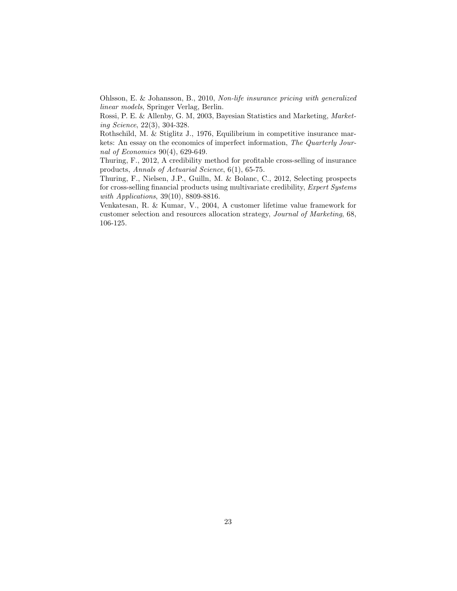Ohlsson, E. & Johansson, B., 2010, Non-life insurance pricing with generalized linear models, Springer Verlag, Berlin.

Rossi, P. E. & Allenby, G. M, 2003, Bayesian Statistics and Marketing, Marketing Science, 22(3), 304-328.

Rothschild, M. & Stiglitz J., 1976, Equilibrium in competitive insurance markets: An essay on the economics of imperfect information, The Quarterly Journal of Economics 90(4), 629-649.

Thuring, F., 2012, A credibility method for profitable cross-selling of insurance products, Annals of Actuarial Science, 6(1), 65-75.

Thuring, F., Nielsen, J.P., Guilln, M. & Bolanc, C., 2012, Selecting prospects for cross-selling financial products using multivariate credibility, Expert Systems with Applications, 39(10), 8809-8816.

Venkatesan, R. & Kumar, V., 2004, A customer lifetime value framework for customer selection and resources allocation strategy, Journal of Marketing, 68, 106-125.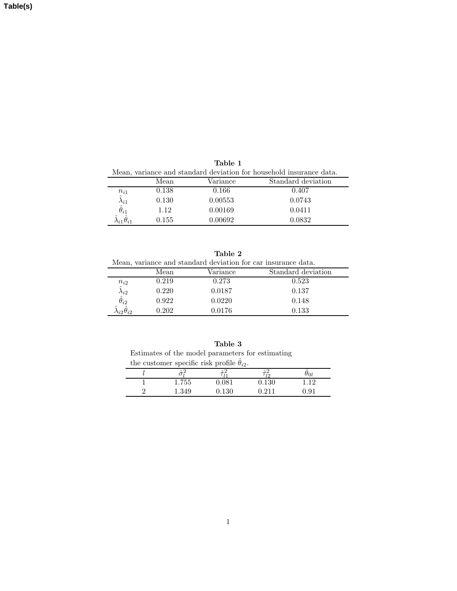Table 1

|          |       |          | Mean, variance and standard deviation for household insurance data. |
|----------|-------|----------|---------------------------------------------------------------------|
|          | Mean  | Variance | Standard deviation                                                  |
| $n_{i1}$ | 0.138 | 0.166    | 0.407                                                               |

| $n_{i1}$                                                  | 0.138 | $0.166\,$ | 0.407  |  |
|-----------------------------------------------------------|-------|-----------|--------|--|
| $\hat{\mathbf{r}}$<br>$\frac{\lambda_{i1}}{\hat{a}}$      | 0.130 | 0.00553   | 0.0743 |  |
|                                                           | 1.12  | 0.00169   | 0.0411 |  |
| $\frac{\theta_{i1}}{\hat{\lambda}_{i1}\hat{\theta}_{i1}}$ | 0.155 | 0.00692   | 0.0832 |  |

÷.

Table 2

Mean, variance and standard deviation for car insurance data.

| TWEEVALUU WALGO MUUSEGUSEGO GU TEGULULE LUL UUSE ALAMULUU GEOVUUT |       |          |                    |  |  |
|-------------------------------------------------------------------|-------|----------|--------------------|--|--|
|                                                                   | Mean  | Variance | Standard deviation |  |  |
| $n_{i2}$                                                          | 0.219 | 0.273    | 0.523              |  |  |
| $\hat{\lambda}_{i2}$                                              | 0.220 | 0.0187   | 0.137              |  |  |
| $\hat{\theta}_{i2}$                                               | 0.922 | 0.0220   | 0.148              |  |  |
| $\lambda_{i2} \hat{\theta}_{i2}$                                  | 0.202 | 0.0176   | 0.133              |  |  |
|                                                                   |       |          |                    |  |  |

Table 3 Estimates of the model parameters for estimating the customer specific risk profile  $\hat{\theta}_{i2}$ .

|          |                 | .            |                           |                                  |
|----------|-----------------|--------------|---------------------------|----------------------------------|
|          | ்∸்<br>$\sigma$ | $\wedge$ 2   | $\sim$<br>$\overline{10}$ | '0l                              |
|          | 1.755           | 081<br>U.UOT | 0.130                     | 1 ດ                              |
| $\Omega$ | 1.349           | .130         | 011                       | $^{\circ}$ Q <sup>-</sup><br>いっこ |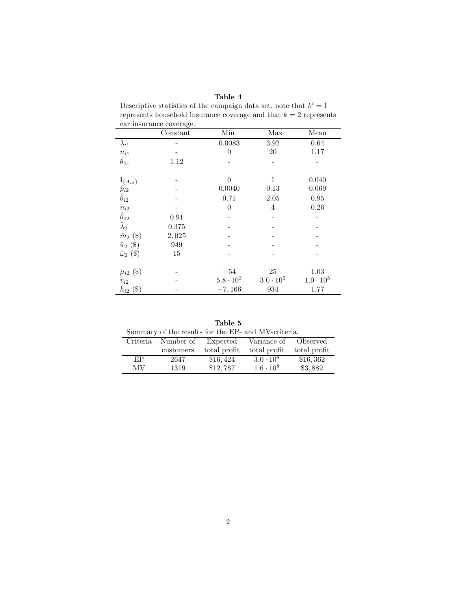## Table 4

Descriptive statistics of the campaign data set, note that  $k' = 1$ represents household insurance coverage and that  $k = 2$  represents car insurance coverage.

|                                        | ິດ - 1<br>Constant | Min              | Max            | Mean               |
|----------------------------------------|--------------------|------------------|----------------|--------------------|
| $\hat{\lambda}_{i1}$                   |                    | 0.0083           | 3.92           | 0.64               |
| $n_{i1}$                               |                    | $\theta$         | $20\,$         | $1.17\,$           |
| $\hat{\theta}_{01}$                    | 1.12               |                  |                |                    |
| $I_{\{A_{i2}\}}$                       |                    | $\Omega$         | $\mathbf{1}$   | 0.040              |
|                                        |                    | 0.0040           | 0.13           | 0.069              |
| $\hat{p}_{i2} \over \hat{\theta}_{i2}$ |                    | 0.71             | $2.05\,$       | 0.95               |
| $n_{i2}$                               |                    | $\overline{0}$   | 4              | 0.26               |
| $\hat{\theta}_{02}$ $\hat{\lambda}_2$  | 0.91               |                  |                |                    |
|                                        | 0.375              |                  |                |                    |
| $\hat{m}_2$ (\$)                       | 2,025              |                  |                |                    |
| $\hat{\pi}_2$ (\$)                     | 949                |                  |                |                    |
| $\hat{\omega}_2$ (\$)                  | 15                 |                  |                |                    |
| $\hat{\mu}_{i2}$ (\$)                  |                    | $-54$            | 25             | $1.03\,$           |
| $\hat{v}_{i2}$                         |                    | $5.8 \cdot 10^3$ | $3.0\cdot10^5$ | $1.0 \cdot 10^{5}$ |
| $h_{i2}(\$)$                           |                    | $-7,166$         | 934            | 1.77               |

| Table 5                                             |           |              |                                                  |              |  |
|-----------------------------------------------------|-----------|--------------|--------------------------------------------------|--------------|--|
| Summary of the results for the EP- and MV-criteria. |           |              |                                                  |              |  |
|                                                     |           |              | Criteria Number of Expected Variance of Observed |              |  |
|                                                     | customers | total profit | total profit                                     | total profit |  |
| EP                                                  | 2647      | \$16,424     | $3.0 \cdot 10^8$                                 | \$16,362     |  |
| MV                                                  | 1319      | \$12,787     | $1.6 \cdot 10^8$                                 | \$3,882      |  |

2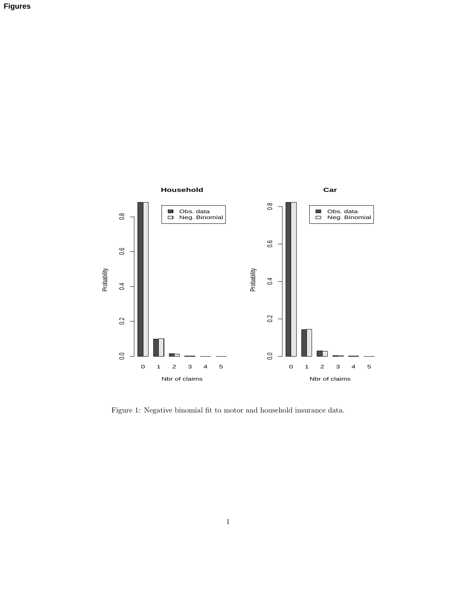

Figure 1: Negative binomial fit to motor and household insurance data.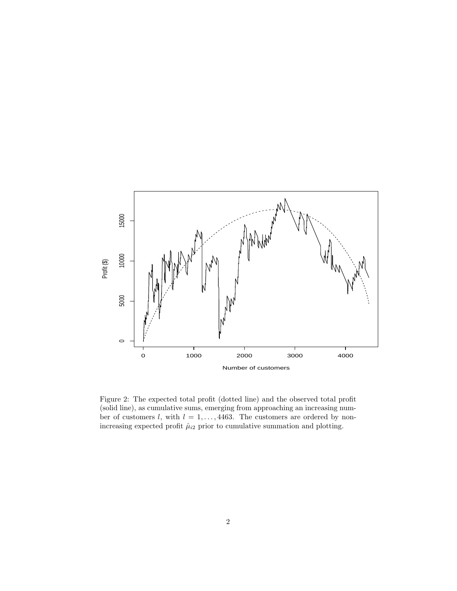

Figure 2: The expected total profit (dotted line) and the observed total profit (solid line), as cumulative sums, emerging from approaching an increasing number of customers l, with  $l = 1, \ldots, 4463$ . The customers are ordered by nonincreasing expected profit  $\hat{\mu}_{i2}$  prior to cumulative summation and plotting.